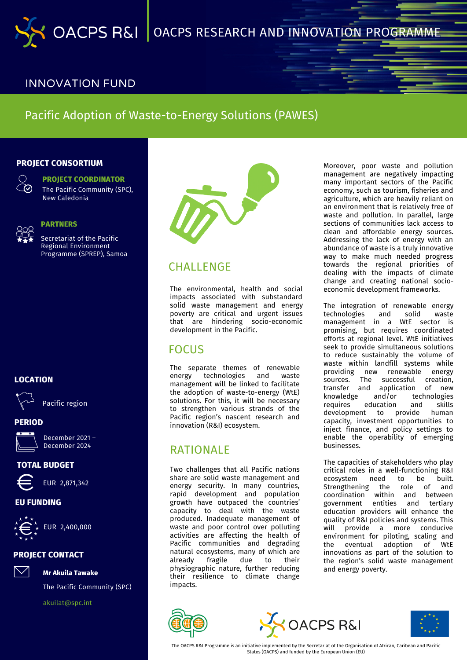

### INNOVATION FUND

# Pacific Adoption of Waste-to-Energy Solutions (PAWES)

#### **PROJECT CONSORTIUM**



**PROJECT COORDINATOR** The Pacific Community (SPC), New Caledonia



#### **PARTNERS**

Secretariat of the Pacific Regional Environment Programme (SPREP), Samoa



Pacific region

# **PERIOD**



December 2021 – December 2024

### **TOTAL BUDGET**



### **EU FUNDING**



#### **PROJECT CONTACT**



The Pacific Community (SPC)

[akuilat@spc.int](mailto:John.Agard@sta.uwi.edu)

**Mr Akuila Tawake**



## CHALLENGE

The environmental, health and social impacts associated with substandard solid waste management and energy poverty are critical and urgent issues that are hindering socio-economic development in the Pacific.

## FOCUS

The separate themes of renewable energy technologies and waste management will be linked to facilitate the adoption of waste-to-energy (WtE) solutions. For this, it will be necessary to strengthen various strands of the Pacific region's nascent research and innovation (R&I) ecosystem.

# RATIONALE

Two challenges that all Pacific nations share are solid waste management and energy security. In many countries, rapid development and population growth have outpaced the countries' capacity to deal with the waste produced. Inadequate management of waste and poor control over polluting activities are affecting the health of Pacific communities and degrading natural ecosystems, many of which are already fragile due to their physiographic nature, further reducing their resilience to climate change impacts.

Moreover, poor waste and pollution management are negatively impacting many important sectors of the Pacific economy, such as tourism, fisheries and agriculture, which are heavily reliant on an environment that is relatively free of waste and pollution. In parallel, large sections of communities lack access to clean and affordable energy sources. Addressing the lack of energy with an abundance of waste is a truly innovative way to make much needed progress towards the regional priorities of dealing with the impacts of climate change and creating national socioeconomic development frameworks.

The integration of renewable energy technologies and solid waste management in a WtE sector is promising, but requires coordinated efforts at regional level. WtE initiatives seek to provide simultaneous solutions to reduce sustainably the volume of waste within landfill systems while providing new renewable energy sources. The successful creation, transfer and application of new and/or technologies requires education and skills development to provide human capacity, investment opportunities to inject finance, and policy settings to enable the operability of emerging businesses.

The capacities of stakeholders who play critical roles in a well-functioning R&I ecosystem need to be built. Strengthening the role of and coordination within and between government entities and tertiary education providers will enhance the quality of R&I policies and systems. This will provide a more conducive environment for piloting, scaling and the eventual adoption of WtE innovations as part of the solution to the region's solid waste management and energy poverty.







The OACPS R&I Programme is an initiative implemented by the Secretariat of the Organisation of African, Caribean and Pacific States (OACPS) and funded by the European Union (EU)